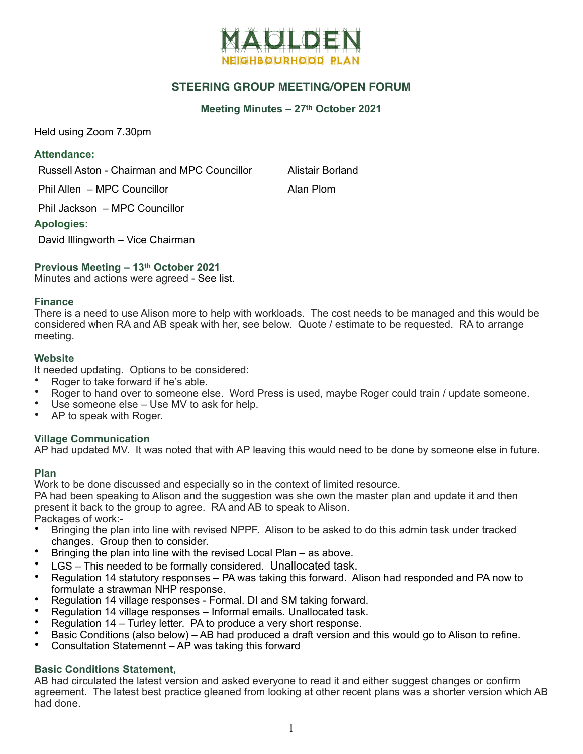

# **STEERING GROUP MEETING/OPEN FORUM**

#### **Meeting Minutes – 27th October 2021**

Held using Zoom 7.30pm

## **Attendance:**

Russell Aston - Chairman and MPC Councillor Alistair Borland

Phil Allen – MPC Councillor **Alan Plom** 

Phil Jackson – MPC Councillor

## **Apologies:**

David Illingworth – Vice Chairman

# **Previous Meeting – 13th October 2021**

Minutes and actions were agreed - See list.

### **Finance**

There is a need to use Alison more to help with workloads. The cost needs to be managed and this would be considered when RA and AB speak with her, see below. Quote / estimate to be requested. RA to arrange meeting.

### **Website**

It needed updating. Options to be considered:

- Roger to take forward if he's able.
- Roger to hand over to someone else. Word Press is used, maybe Roger could train / update someone.
- Use someone else Use MV to ask for help.
- AP to speak with Roger.

## **Village Communication**

AP had updated MV. It was noted that with AP leaving this would need to be done by someone else in future.

## **Plan**

Work to be done discussed and especially so in the context of limited resource.

PA had been speaking to Alison and the suggestion was she own the master plan and update it and then present it back to the group to agree. RA and AB to speak to Alison. Packages of work:-

- Bringing the plan into line with revised NPPF. Alison to be asked to do this admin task under tracked changes. Group then to consider.
- Bringing the plan into line with the revised Local Plan as above.
- LGS This needed to be formally considered. Unallocated task.
- Regulation 14 statutory responses PA was taking this forward. Alison had responded and PA now to formulate a strawman NHP response.
- Regulation 14 village responses Formal. DI and SM taking forward.
- Regulation 14 village responses Informal emails. Unallocated task.
- Regulation 14 Turley letter. PA to produce a very short response.
- Basic Conditions (also below) AB had produced a draft version and this would go to Alison to refine.
- Consultation Statemennt AP was taking this forward

# **Basic Conditions Statement,**

AB had circulated the latest version and asked everyone to read it and either suggest changes or confirm agreement. The latest best practice gleaned from looking at other recent plans was a shorter version which AB had done.